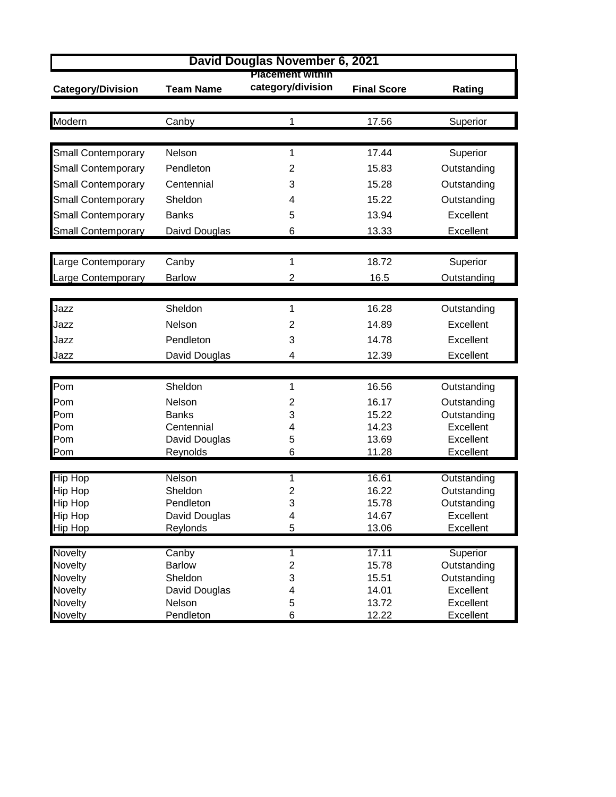| David Douglas November 6, 2021   |                        |                                              |                    |                            |  |  |  |
|----------------------------------|------------------------|----------------------------------------------|--------------------|----------------------------|--|--|--|
| <b>Category/Division</b>         | <b>Team Name</b>       | <b>Placement within</b><br>category/division | <b>Final Score</b> | Rating                     |  |  |  |
| Modern                           | Canby                  | 1                                            | 17.56              | Superior                   |  |  |  |
|                                  |                        |                                              |                    |                            |  |  |  |
| <b>Small Contemporary</b>        | Nelson                 | 1                                            | 17.44              | Superior                   |  |  |  |
| <b>Small Contemporary</b>        | Pendleton              | 2                                            | 15.83              | Outstanding                |  |  |  |
| <b>Small Contemporary</b>        | Centennial             | 3                                            | 15.28              | Outstanding                |  |  |  |
| <b>Small Contemporary</b>        | Sheldon                | 4                                            | 15.22              | Outstanding                |  |  |  |
| <b>Small Contemporary</b>        | <b>Banks</b>           | 5                                            | 13.94              | Excellent                  |  |  |  |
| <b>Small Contemporary</b>        | Daivd Douglas          | 6                                            | 13.33              | Excellent                  |  |  |  |
|                                  |                        |                                              |                    |                            |  |  |  |
| Large Contemporary               | Canby                  | 1                                            | 18.72              | Superior                   |  |  |  |
| Large Contemporary               | <b>Barlow</b>          | $\overline{2}$                               | 16.5               | Outstanding                |  |  |  |
|                                  |                        |                                              |                    |                            |  |  |  |
| Jazz                             | Sheldon                | 1                                            | 16.28              | Outstanding                |  |  |  |
| Jazz                             | Nelson                 | 2                                            | 14.89              | Excellent                  |  |  |  |
| Jazz                             | Pendleton              | 3                                            | 14.78              | Excellent                  |  |  |  |
| Jazz                             | David Douglas          | 4                                            | 12.39              | Excellent                  |  |  |  |
|                                  |                        |                                              |                    |                            |  |  |  |
| Pom                              | Sheldon                | 1                                            | 16.56              | Outstanding                |  |  |  |
| Pom                              | Nelson                 | 2                                            | 16.17              | Outstanding                |  |  |  |
| Pom                              | <b>Banks</b>           | 3                                            | 15.22              | Outstanding                |  |  |  |
| Pom                              | Centennial             | 4                                            | 14.23              | Excellent                  |  |  |  |
| Pom                              | David Douglas          | 5                                            | 13.69              | Excellent                  |  |  |  |
| Pom                              | Reynolds               | 6                                            | 11.28              | Excellent                  |  |  |  |
| <b>Hip Hop</b>                   | Nelson                 | 1                                            | 16.61              | Outstanding                |  |  |  |
| <b>Hip Hop</b>                   | Sheldon                | $\overline{2}$                               | 16.22              | Outstanding                |  |  |  |
| <b>Hip Hop</b>                   | Pendleton              | 3                                            | 15.78              | Outstanding                |  |  |  |
| <b>Hip Hop</b>                   | David Douglas          | 4                                            | 14.67              | Excellent                  |  |  |  |
| <b>Hip Hop</b>                   | Reylonds               | 5                                            | 13.06              | Excellent                  |  |  |  |
|                                  |                        |                                              |                    |                            |  |  |  |
| Novelty                          | Canby<br><b>Barlow</b> | 1<br>$\overline{c}$                          | 17.11<br>15.78     | Superior                   |  |  |  |
| <b>Novelty</b><br><b>Novelty</b> | Sheldon                | 3                                            | 15.51              | Outstanding<br>Outstanding |  |  |  |
| <b>Novelty</b>                   | David Douglas          | 4                                            | 14.01              | Excellent                  |  |  |  |
| <b>Novelty</b>                   | Nelson                 | 5                                            | 13.72              | Excellent                  |  |  |  |
| <b>Novelty</b>                   | Pendleton              | 6                                            | 12.22              | Excellent                  |  |  |  |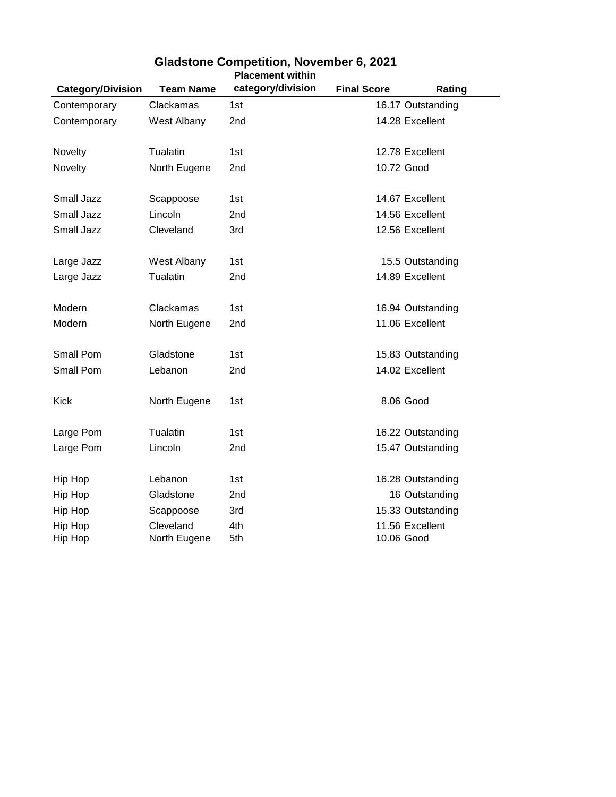| <b>Category/Division</b> | <b>Team Name</b> | category/division | <b>Final Score</b> | Rating            |
|--------------------------|------------------|-------------------|--------------------|-------------------|
| Contemporary             | Clackamas        | 1st               |                    | 16.17 Outstanding |
| Contemporary             | West Albany      | 2nd               |                    | 14.28 Excellent   |
|                          |                  |                   |                    |                   |
| Novelty                  | Tualatin         | 1st               |                    | 12.78 Excellent   |
| Novelty                  | North Eugene     | 2nd               | 10.72 Good         |                   |
| Small Jazz               | Scappoose        | 1st               |                    | 14.67 Excellent   |
| Small Jazz               | Lincoln          | 2 <sub>nd</sub>   |                    | 14.56 Excellent   |
| Small Jazz               | Cleveland        | 3rd               |                    | 12.56 Excellent   |
| Large Jazz               | West Albany      | 1st               |                    | 15.5 Outstanding  |
| Large Jazz               | Tualatin         | 2 <sub>nd</sub>   |                    | 14.89 Excellent   |
|                          |                  |                   |                    |                   |
| Modern                   | Clackamas        | 1st               |                    | 16.94 Outstanding |
| Modern                   | North Eugene     | 2nd               |                    | 11.06 Excellent   |
| Small Pom                | Gladstone        | 1st               |                    | 15.83 Outstanding |
| Small Pom                | Lebanon          | 2nd               |                    | 14.02 Excellent   |
|                          |                  |                   |                    |                   |
| Kick                     | North Eugene     | 1st               | 8.06 Good          |                   |
| Large Pom                | Tualatin         | 1st               |                    | 16.22 Outstanding |
|                          |                  |                   |                    |                   |
| Large Pom                | Lincoln          | 2nd               |                    | 15.47 Outstanding |
| Hip Hop                  | Lebanon          | 1st               |                    | 16.28 Outstanding |
| Hip Hop                  | Gladstone        | 2nd               |                    | 16 Outstanding    |
| Hip Hop                  | Scappoose        | 3rd               |                    | 15.33 Outstanding |
| Hip Hop                  | Cleveland        | 4th               |                    | 11.56 Excellent   |
| Hip Hop                  | North Eugene     | 5th               | 10.06 Good         |                   |

## **Placement within Gladstone Competition, November 6, 2021**

-